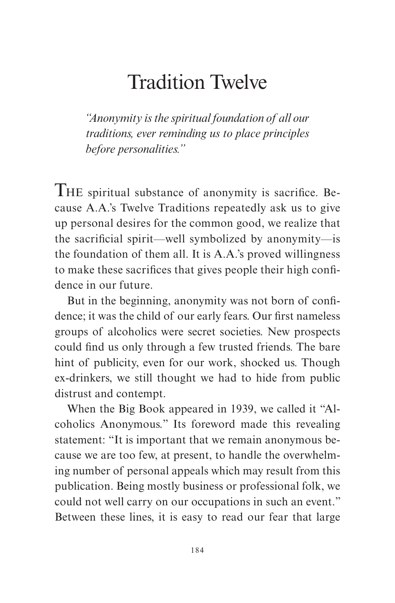## Tradition Twelve

*"Anonymity is the spiritual foundation of all our traditions, ever reminding us to place principles before personalities."*

THE spiritual substance of anonymity is sacrifice. Because A.A.'s Twelve Traditions repeatedly ask us to give up personal desires for the common good, we realize that the sacrificial spirit—well symbolized by anonymity—is the foundation of them all. It is A.A.'s proved willingness to make these sacrifices that gives people their high confidence in our future.

But in the beginning, anonymity was not born of confidence; it was the child of our early fears. Our first nameless groups of alcoholics were secret societies. New prospects could find us only through a few trusted friends. The bare hint of publicity, even for our work, shocked us. Though ex-drinkers, we still thought we had to hide from public distrust and contempt.

When the Big Book appeared in 1939, we called it "Alcoholics Anonymous." Its foreword made this revealing statement: "It is important that we remain anonymous because we are too few, at present, to handle the overwhelming number of personal appeals which may result from this publication. Being mostly business or professional folk, we could not well carry on our occupations in such an event." Between these lines, it is easy to read our fear that large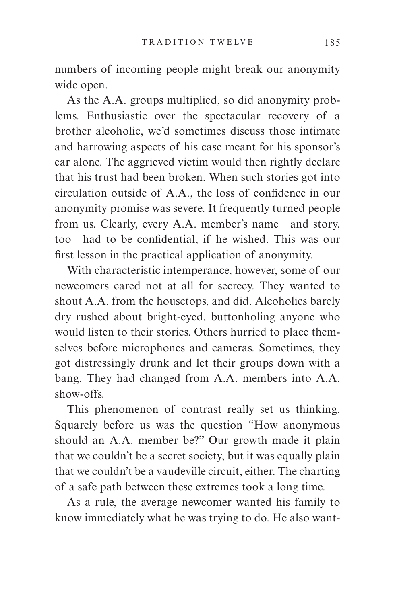numbers of incoming people might break our anonymity wide open.

As the A.A. groups multiplied, so did anonymity problems. Enthusiastic over the spectacular recovery of a brother alcoholic, we'd sometimes discuss those intimate and harrowing aspects of his case meant for his sponsor's ear alone. The aggrieved victim would then rightly declare that his trust had been broken. When such stories got into circulation outside of A.A., the loss of confidence in our anonymity promise was severe. It frequently turned people from us. Clearly, every A.A. member's name—and story, too—had to be confidential, if he wished. This was our first lesson in the practical application of anonymity.

With characteristic intemperance, however, some of our newcomers cared not at all for secrecy. They wanted to shout A.A. from the housetops, and did. Alcoholics barely dry rushed about bright-eyed, buttonholing anyone who would listen to their stories. Others hurried to place themselves before microphones and cameras. Sometimes, they got distressingly drunk and let their groups down with a bang. They had changed from A.A. members into A.A. show-offs.

This phenomenon of contrast really set us thinking. Squarely before us was the question "How anonymous should an A.A. member be?" Our growth made it plain that we couldn't be a secret society, but it was equally plain that we couldn't be a vaudeville circuit, either. The charting of a safe path between these extremes took a long time.

As a rule, the average newcomer wanted his family to know immediately what he was trying to do. He also want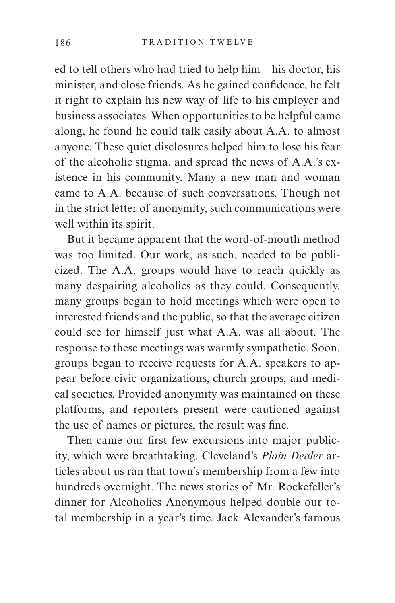ed to tell others who had tried to help him—his doctor, his minister, and close friends. As he gained confidence, he felt it right to explain his new way of life to his employer and business associates. When opportunities to be helpful came along, he found he could talk easily about A.A. to almost anyone. These quiet disclosures helped him to lose his fear of the alcoholic stigma, and spread the news of A.A.'s existence in his community. Many a new man and woman came to A.A. because of such conversations. Though not in the strict letter of anonymity, such communications were well within its spirit.

But it became apparent that the word-of-mouth method was too limited. Our work, as such, needed to be publicized. The A.A. groups would have to reach quickly as many despairing alcoholics as they could. Consequently, many groups began to hold meetings which were open to interested friends and the public, so that the average citizen could see for himself just what A.A. was all about. The response to these meetings was warmly sympathetic. Soon, groups began to receive requests for A.A. speakers to appear before civic organizations, church groups, and medical societies. Provided anonymity was maintained on these platforms, and reporters present were cautioned against the use of names or pictures, the result was fine.

Then came our first few excursions into major publicity, which were breathtaking. Cleveland's *Plain Dealer* articles about us ran that town's membership from a few into hundreds overnight. The news stories of Mr. Rockefeller's dinner for Alcoholics Anonymous helped double our total membership in a year's time. Jack Alexander's famous